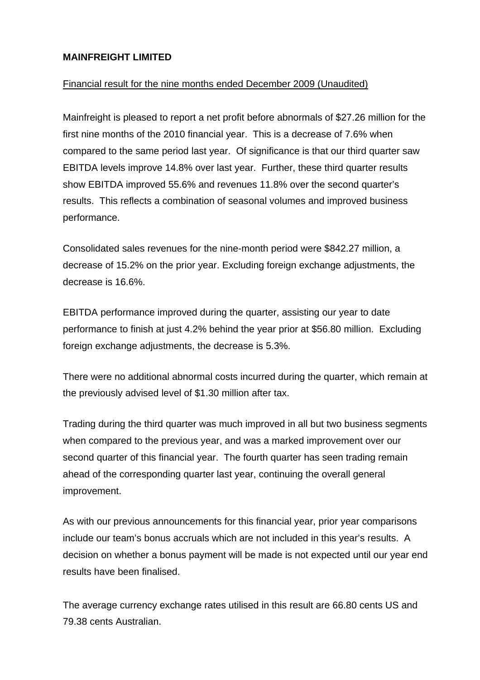### **MAINFREIGHT LIMITED**

## Financial result for the nine months ended December 2009 (Unaudited)

Mainfreight is pleased to report a net profit before abnormals of \$27.26 million for the first nine months of the 2010 financial year. This is a decrease of 7.6% when compared to the same period last year. Of significance is that our third quarter saw EBITDA levels improve 14.8% over last year. Further, these third quarter results show EBITDA improved 55.6% and revenues 11.8% over the second quarter's results. This reflects a combination of seasonal volumes and improved business performance.

Consolidated sales revenues for the nine-month period were \$842.27 million, a decrease of 15.2% on the prior year. Excluding foreign exchange adjustments, the decrease is 16.6%.

EBITDA performance improved during the quarter, assisting our year to date performance to finish at just 4.2% behind the year prior at \$56.80 million. Excluding foreign exchange adjustments, the decrease is 5.3%.

There were no additional abnormal costs incurred during the quarter, which remain at the previously advised level of \$1.30 million after tax.

Trading during the third quarter was much improved in all but two business segments when compared to the previous year, and was a marked improvement over our second quarter of this financial year. The fourth quarter has seen trading remain ahead of the corresponding quarter last year, continuing the overall general improvement.

As with our previous announcements for this financial year, prior year comparisons include our team's bonus accruals which are not included in this year's results. A decision on whether a bonus payment will be made is not expected until our year end results have been finalised.

The average currency exchange rates utilised in this result are 66.80 cents US and 79.38 cents Australian.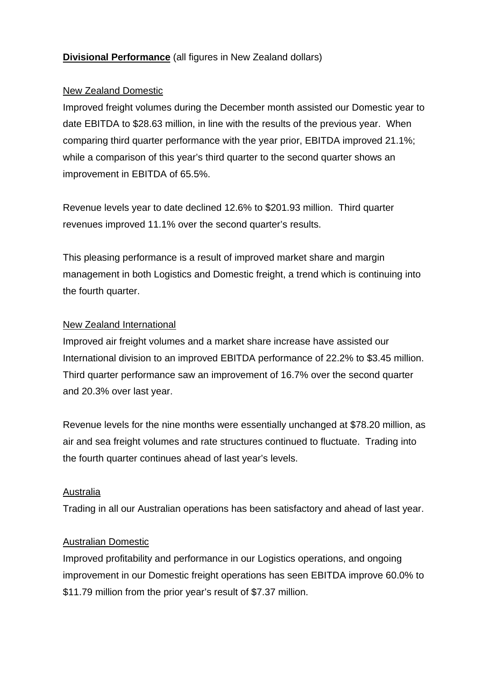# **Divisional Performance** (all figures in New Zealand dollars)

### New Zealand Domestic

Improved freight volumes during the December month assisted our Domestic year to date EBITDA to \$28.63 million, in line with the results of the previous year. When comparing third quarter performance with the year prior, EBITDA improved 21.1%; while a comparison of this year's third quarter to the second quarter shows an improvement in EBITDA of 65.5%.

Revenue levels year to date declined 12.6% to \$201.93 million. Third quarter revenues improved 11.1% over the second quarter's results.

This pleasing performance is a result of improved market share and margin management in both Logistics and Domestic freight, a trend which is continuing into the fourth quarter.

### New Zealand International

Improved air freight volumes and a market share increase have assisted our International division to an improved EBITDA performance of 22.2% to \$3.45 million. Third quarter performance saw an improvement of 16.7% over the second quarter and 20.3% over last year.

Revenue levels for the nine months were essentially unchanged at \$78.20 million, as air and sea freight volumes and rate structures continued to fluctuate. Trading into the fourth quarter continues ahead of last year's levels.

# Australia

Trading in all our Australian operations has been satisfactory and ahead of last year.

# Australian Domestic

Improved profitability and performance in our Logistics operations, and ongoing improvement in our Domestic freight operations has seen EBITDA improve 60.0% to \$11.79 million from the prior year's result of \$7.37 million.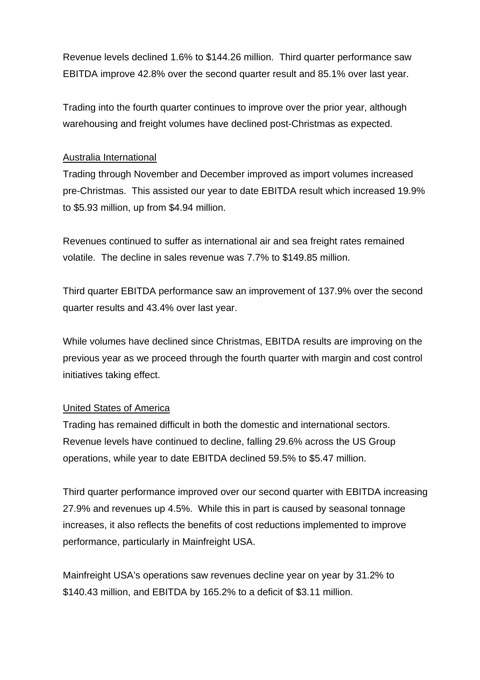Revenue levels declined 1.6% to \$144.26 million. Third quarter performance saw EBITDA improve 42.8% over the second quarter result and 85.1% over last year.

Trading into the fourth quarter continues to improve over the prior year, although warehousing and freight volumes have declined post-Christmas as expected.

#### Australia International

Trading through November and December improved as import volumes increased pre-Christmas. This assisted our year to date EBITDA result which increased 19.9% to \$5.93 million, up from \$4.94 million.

Revenues continued to suffer as international air and sea freight rates remained volatile. The decline in sales revenue was 7.7% to \$149.85 million.

Third quarter EBITDA performance saw an improvement of 137.9% over the second quarter results and 43.4% over last year.

While volumes have declined since Christmas, EBITDA results are improving on the previous year as we proceed through the fourth quarter with margin and cost control initiatives taking effect.

### United States of America

Trading has remained difficult in both the domestic and international sectors. Revenue levels have continued to decline, falling 29.6% across the US Group operations, while year to date EBITDA declined 59.5% to \$5.47 million.

Third quarter performance improved over our second quarter with EBITDA increasing 27.9% and revenues up 4.5%. While this in part is caused by seasonal tonnage increases, it also reflects the benefits of cost reductions implemented to improve performance, particularly in Mainfreight USA.

Mainfreight USA's operations saw revenues decline year on year by 31.2% to \$140.43 million, and EBITDA by 165.2% to a deficit of \$3.11 million.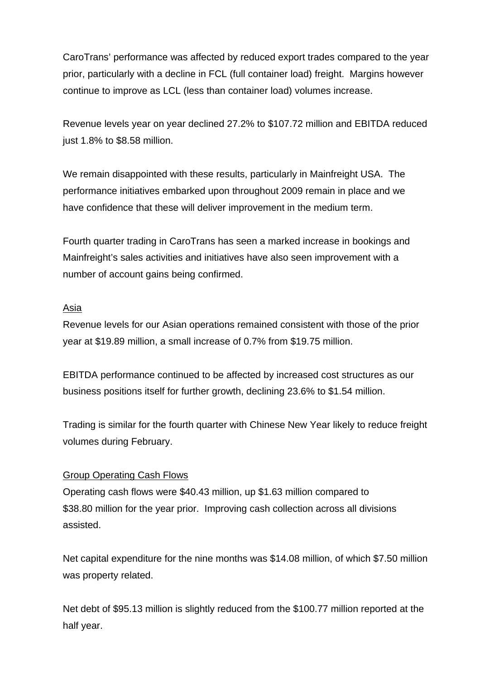CaroTrans' performance was affected by reduced export trades compared to the year prior, particularly with a decline in FCL (full container load) freight. Margins however continue to improve as LCL (less than container load) volumes increase.

Revenue levels year on year declined 27.2% to \$107.72 million and EBITDA reduced just 1.8% to \$8.58 million.

We remain disappointed with these results, particularly in Mainfreight USA. The performance initiatives embarked upon throughout 2009 remain in place and we have confidence that these will deliver improvement in the medium term.

Fourth quarter trading in CaroTrans has seen a marked increase in bookings and Mainfreight's sales activities and initiatives have also seen improvement with a number of account gains being confirmed.

### Asia

Revenue levels for our Asian operations remained consistent with those of the prior year at \$19.89 million, a small increase of 0.7% from \$19.75 million.

EBITDA performance continued to be affected by increased cost structures as our business positions itself for further growth, declining 23.6% to \$1.54 million.

Trading is similar for the fourth quarter with Chinese New Year likely to reduce freight volumes during February.

### Group Operating Cash Flows

Operating cash flows were \$40.43 million, up \$1.63 million compared to \$38.80 million for the year prior. Improving cash collection across all divisions assisted.

Net capital expenditure for the nine months was \$14.08 million, of which \$7.50 million was property related.

Net debt of \$95.13 million is slightly reduced from the \$100.77 million reported at the half year.